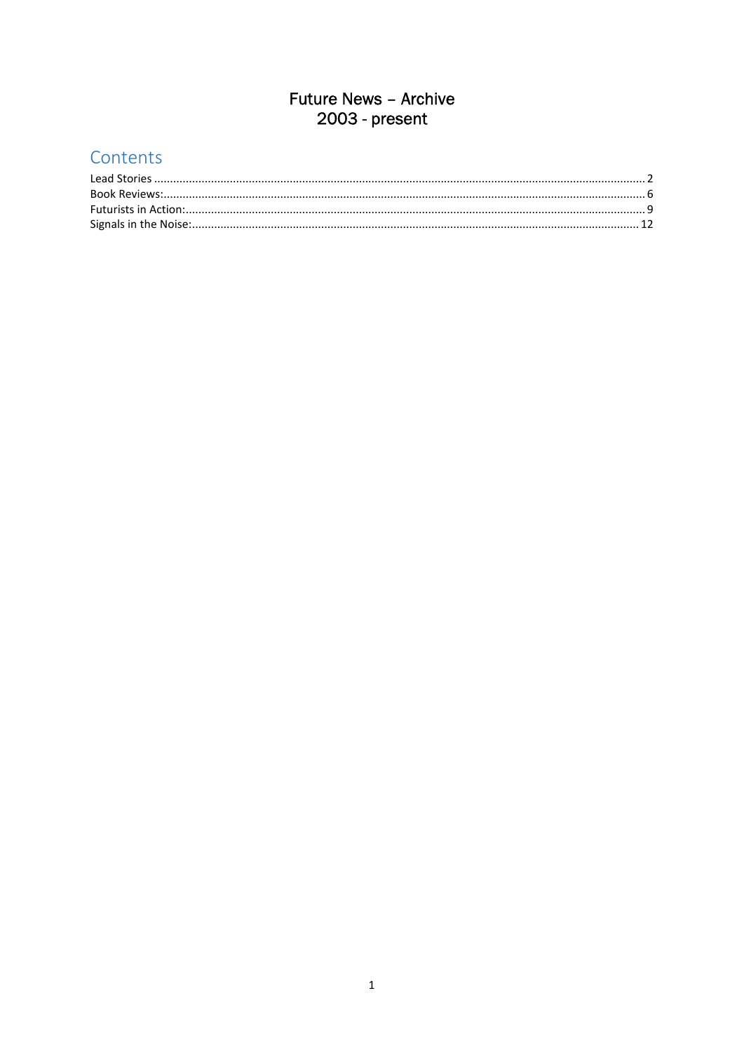### **Future News - Archive** 2003 - present

#### Contents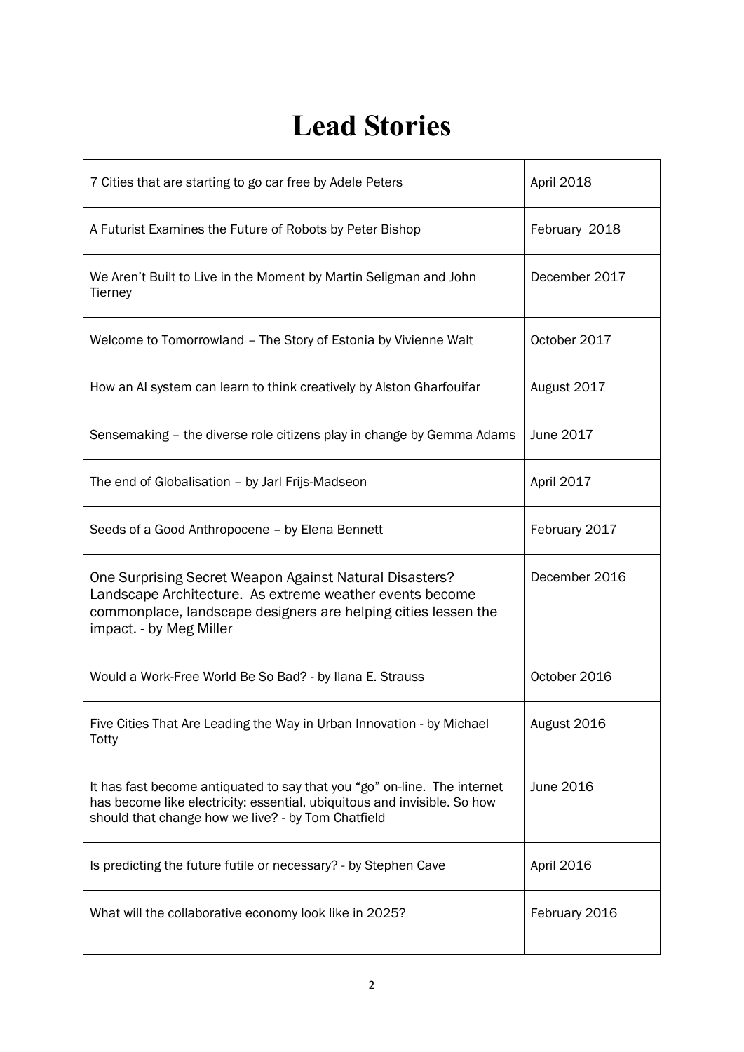# **Lead Stories**

| 7 Cities that are starting to go car free by Adele Peters                                                                                                                                                        | <b>April 2018</b> |
|------------------------------------------------------------------------------------------------------------------------------------------------------------------------------------------------------------------|-------------------|
| A Futurist Examines the Future of Robots by Peter Bishop                                                                                                                                                         | February 2018     |
| We Aren't Built to Live in the Moment by Martin Seligman and John<br>Tierney                                                                                                                                     | December 2017     |
| Welcome to Tomorrowland - The Story of Estonia by Vivienne Walt                                                                                                                                                  | October 2017      |
| How an AI system can learn to think creatively by Alston Gharfouifar                                                                                                                                             | August 2017       |
| Sensemaking - the diverse role citizens play in change by Gemma Adams                                                                                                                                            | June 2017         |
| The end of Globalisation - by Jarl Frijs-Madseon                                                                                                                                                                 | April 2017        |
| Seeds of a Good Anthropocene - by Elena Bennett                                                                                                                                                                  | February 2017     |
| One Surprising Secret Weapon Against Natural Disasters?<br>Landscape Architecture. As extreme weather events become<br>commonplace, landscape designers are helping cities lessen the<br>impact. - by Meg Miller | December 2016     |
| Would a Work-Free World Be So Bad? - by Ilana E. Strauss                                                                                                                                                         | October 2016      |
| Five Cities That Are Leading the Way in Urban Innovation - by Michael<br>Totty                                                                                                                                   | August 2016       |
| It has fast become antiquated to say that you "go" on-line. The internet<br>has become like electricity: essential, ubiquitous and invisible. So how<br>should that change how we live? - by Tom Chatfield       | June 2016         |
| Is predicting the future futile or necessary? - by Stephen Cave                                                                                                                                                  | April 2016        |
| What will the collaborative economy look like in 2025?                                                                                                                                                           | February 2016     |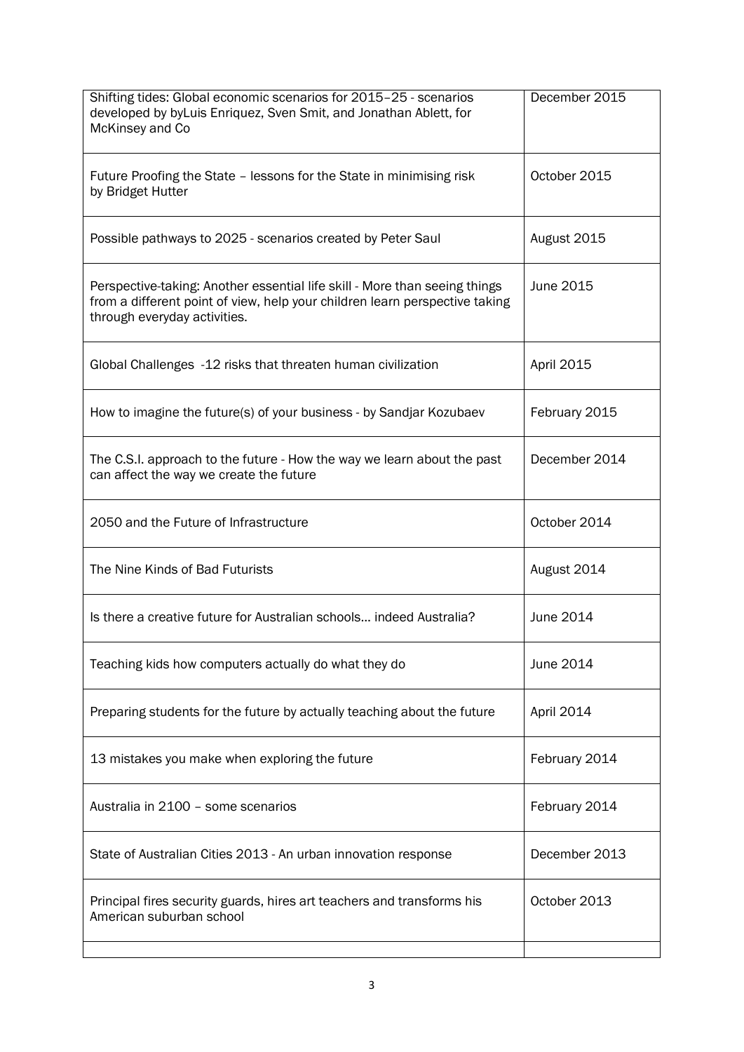| December 2015 |
|---------------|
| October 2015  |
| August 2015   |
| June 2015     |
| April 2015    |
| February 2015 |
| December 2014 |
| October 2014  |
| August 2014   |
| June 2014     |
| June 2014     |
| April 2014    |
| February 2014 |
| February 2014 |
| December 2013 |
| October 2013  |
|               |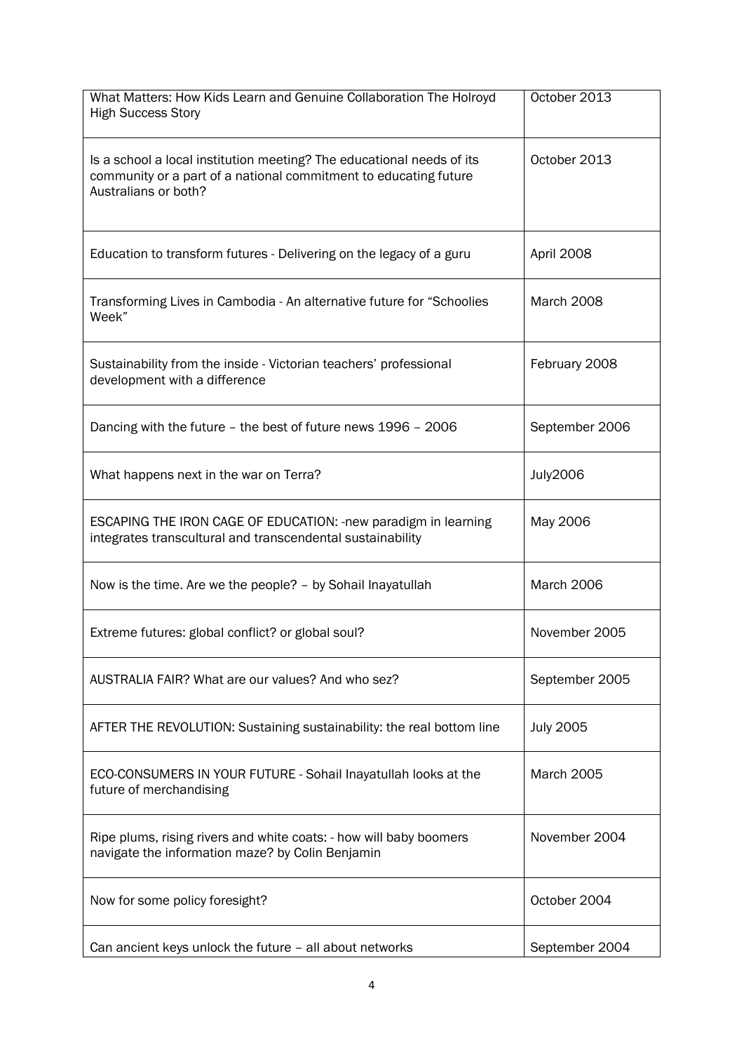| What Matters: How Kids Learn and Genuine Collaboration The Holroyd<br><b>High Success Story</b>                                                                   | October 2013      |
|-------------------------------------------------------------------------------------------------------------------------------------------------------------------|-------------------|
| Is a school a local institution meeting? The educational needs of its<br>community or a part of a national commitment to educating future<br>Australians or both? | October 2013      |
| Education to transform futures - Delivering on the legacy of a guru                                                                                               | April 2008        |
| Transforming Lives in Cambodia - An alternative future for "Schoolies<br>Week"                                                                                    | March 2008        |
| Sustainability from the inside - Victorian teachers' professional<br>development with a difference                                                                | February 2008     |
| Dancing with the future - the best of future news 1996 - 2006                                                                                                     | September 2006    |
| What happens next in the war on Terra?                                                                                                                            | <b>July2006</b>   |
| ESCAPING THE IRON CAGE OF EDUCATION: - new paradigm in learning<br>integrates transcultural and transcendental sustainability                                     | May 2006          |
| Now is the time. Are we the people? - by Sohail Inayatullah                                                                                                       | <b>March 2006</b> |
| Extreme futures: global conflict? or global soul?                                                                                                                 | November 2005     |
| AUSTRALIA FAIR? What are our values? And who sez?                                                                                                                 | September 2005    |
| AFTER THE REVOLUTION: Sustaining sustainability: the real bottom line                                                                                             | <b>July 2005</b>  |
| ECO-CONSUMERS IN YOUR FUTURE - Sohail Inayatullah looks at the<br>future of merchandising                                                                         | <b>March 2005</b> |
| Ripe plums, rising rivers and white coats: - how will baby boomers<br>navigate the information maze? by Colin Benjamin                                            | November 2004     |
| Now for some policy foresight?                                                                                                                                    | October 2004      |
| Can ancient keys unlock the future - all about networks                                                                                                           | September 2004    |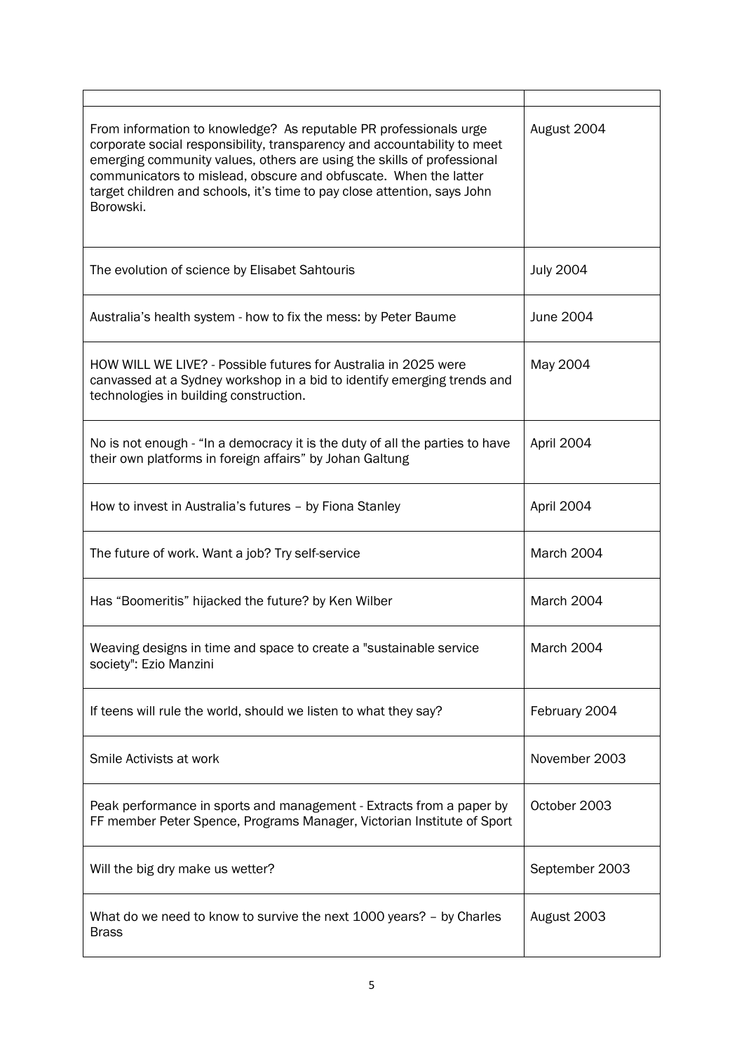| From information to knowledge? As reputable PR professionals urge<br>corporate social responsibility, transparency and accountability to meet<br>emerging community values, others are using the skills of professional<br>communicators to mislead, obscure and obfuscate. When the latter<br>target children and schools, it's time to pay close attention, says John<br>Borowski. | August 2004      |
|--------------------------------------------------------------------------------------------------------------------------------------------------------------------------------------------------------------------------------------------------------------------------------------------------------------------------------------------------------------------------------------|------------------|
| The evolution of science by Elisabet Sahtouris                                                                                                                                                                                                                                                                                                                                       | <b>July 2004</b> |
| Australia's health system - how to fix the mess: by Peter Baume                                                                                                                                                                                                                                                                                                                      | June 2004        |
| HOW WILL WE LIVE? - Possible futures for Australia in 2025 were<br>canvassed at a Sydney workshop in a bid to identify emerging trends and<br>technologies in building construction.                                                                                                                                                                                                 | May 2004         |
| No is not enough - "In a democracy it is the duty of all the parties to have<br>their own platforms in foreign affairs" by Johan Galtung                                                                                                                                                                                                                                             | April 2004       |
| How to invest in Australia's futures - by Fiona Stanley                                                                                                                                                                                                                                                                                                                              | April 2004       |
| The future of work. Want a job? Try self-service                                                                                                                                                                                                                                                                                                                                     | March 2004       |
| Has "Boomeritis" hijacked the future? by Ken Wilber                                                                                                                                                                                                                                                                                                                                  | March 2004       |
| Weaving designs in time and space to create a "sustainable service"<br>society": Ezio Manzini                                                                                                                                                                                                                                                                                        | March 2004       |
| If teens will rule the world, should we listen to what they say?                                                                                                                                                                                                                                                                                                                     | February 2004    |
| Smile Activists at work                                                                                                                                                                                                                                                                                                                                                              | November 2003    |
| Peak performance in sports and management - Extracts from a paper by<br>FF member Peter Spence, Programs Manager, Victorian Institute of Sport                                                                                                                                                                                                                                       | October 2003     |
| Will the big dry make us wetter?                                                                                                                                                                                                                                                                                                                                                     | September 2003   |
| What do we need to know to survive the next 1000 years? - by Charles<br><b>Brass</b>                                                                                                                                                                                                                                                                                                 | August 2003      |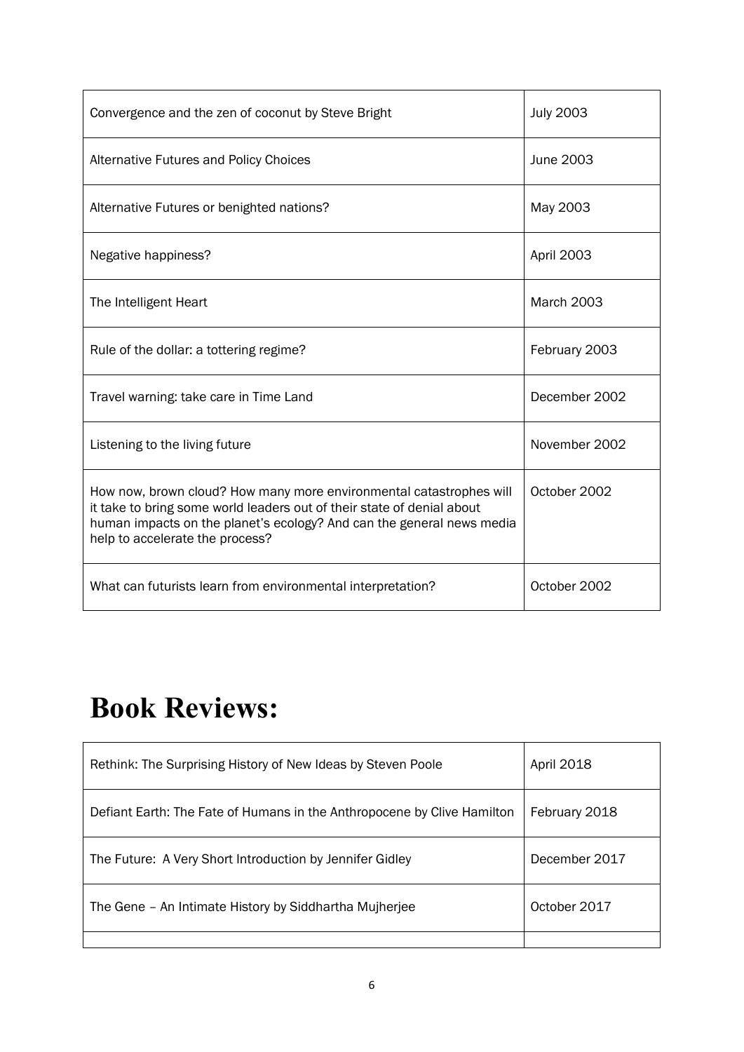| Convergence and the zen of coconut by Steve Bright                                                                                                                                                                                                        | <b>July 2003</b>  |
|-----------------------------------------------------------------------------------------------------------------------------------------------------------------------------------------------------------------------------------------------------------|-------------------|
| Alternative Futures and Policy Choices                                                                                                                                                                                                                    | June 2003         |
| Alternative Futures or benighted nations?                                                                                                                                                                                                                 | May 2003          |
| Negative happiness?                                                                                                                                                                                                                                       | April 2003        |
| The Intelligent Heart                                                                                                                                                                                                                                     | <b>March 2003</b> |
| Rule of the dollar: a tottering regime?                                                                                                                                                                                                                   | February 2003     |
| Travel warning: take care in Time Land                                                                                                                                                                                                                    | December 2002     |
| Listening to the living future                                                                                                                                                                                                                            | November 2002     |
| How now, brown cloud? How many more environmental catastrophes will<br>it take to bring some world leaders out of their state of denial about<br>human impacts on the planet's ecology? And can the general news media<br>help to accelerate the process? | October 2002      |
| What can futurists learn from environmental interpretation?                                                                                                                                                                                               | October 2002      |

# **Book Reviews:**

| Rethink: The Surprising History of New Ideas by Steven Poole            | April 2018    |
|-------------------------------------------------------------------------|---------------|
| Defiant Earth: The Fate of Humans in the Anthropocene by Clive Hamilton | February 2018 |
| The Future: A Very Short Introduction by Jennifer Gidley                | December 2017 |
| The Gene - An Intimate History by Siddhartha Mujherjee                  | October 2017  |
|                                                                         |               |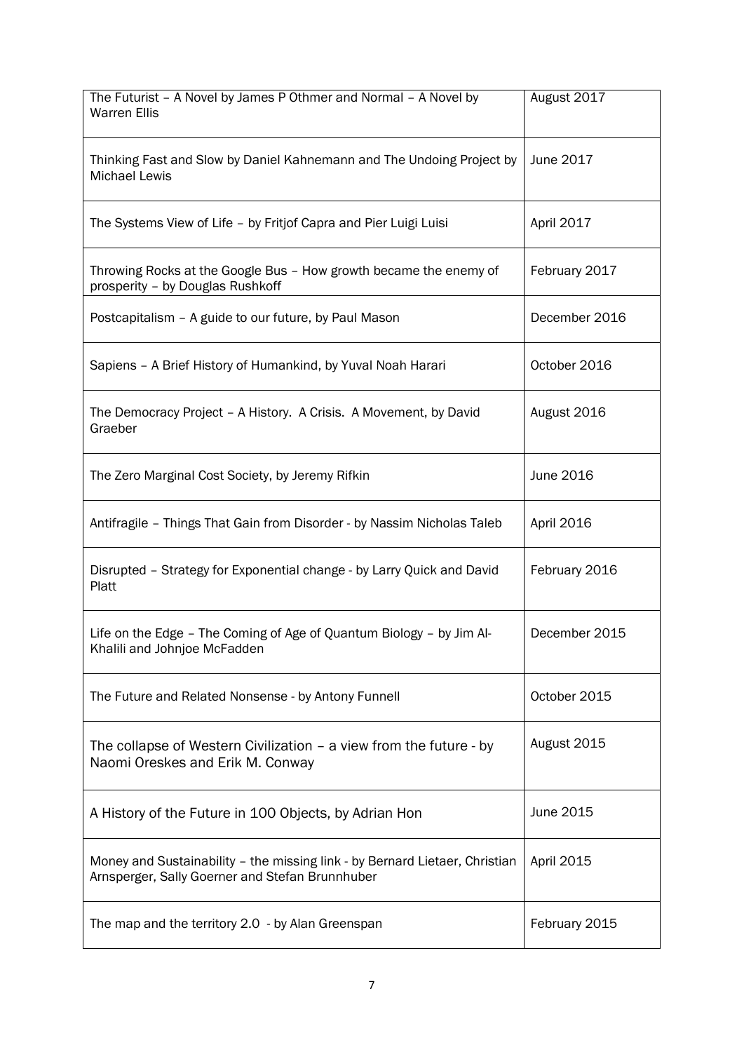| The Futurist - A Novel by James P Othmer and Normal - A Novel by<br><b>Warren Ellis</b>                                        | August 2017   |
|--------------------------------------------------------------------------------------------------------------------------------|---------------|
| Thinking Fast and Slow by Daniel Kahnemann and The Undoing Project by<br><b>Michael Lewis</b>                                  | June 2017     |
| The Systems View of Life - by Fritjof Capra and Pier Luigi Luisi                                                               | April 2017    |
| Throwing Rocks at the Google Bus - How growth became the enemy of<br>prosperity - by Douglas Rushkoff                          | February 2017 |
| Postcapitalism - A guide to our future, by Paul Mason                                                                          | December 2016 |
| Sapiens - A Brief History of Humankind, by Yuval Noah Harari                                                                   | October 2016  |
| The Democracy Project - A History. A Crisis. A Movement, by David<br>Graeber                                                   | August 2016   |
| The Zero Marginal Cost Society, by Jeremy Rifkin                                                                               | June 2016     |
| Antifragile - Things That Gain from Disorder - by Nassim Nicholas Taleb                                                        | April 2016    |
| Disrupted - Strategy for Exponential change - by Larry Quick and David<br>Platt                                                | February 2016 |
| Life on the Edge - The Coming of Age of Quantum Biology - by Jim Al-<br>Khalili and Johnjoe McFadden                           | December 2015 |
| The Future and Related Nonsense - by Antony Funnell                                                                            | October 2015  |
| The collapse of Western Civilization – a view from the future - by<br>Naomi Oreskes and Erik M. Conway                         | August 2015   |
| A History of the Future in 100 Objects, by Adrian Hon                                                                          | June 2015     |
| Money and Sustainability - the missing link - by Bernard Lietaer, Christian<br>Arnsperger, Sally Goerner and Stefan Brunnhuber | April 2015    |
| The map and the territory 2.0 - by Alan Greenspan                                                                              | February 2015 |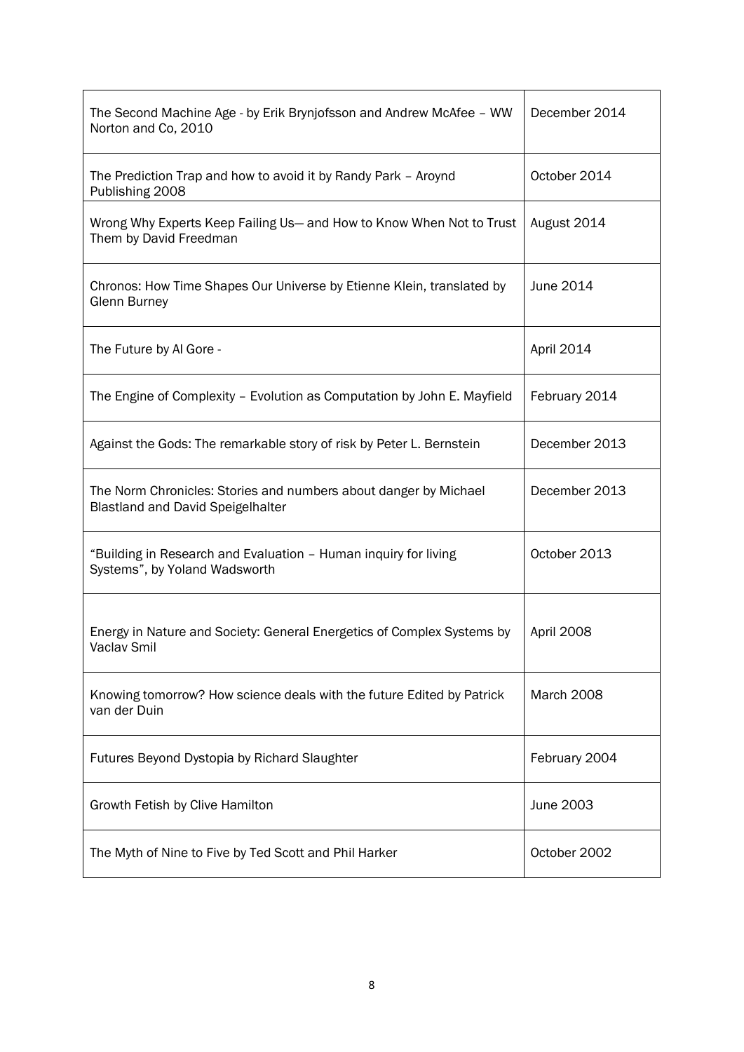| The Second Machine Age - by Erik Brynjofsson and Andrew McAfee - WW<br>Norton and Co, 2010                   | December 2014 |
|--------------------------------------------------------------------------------------------------------------|---------------|
| The Prediction Trap and how to avoid it by Randy Park - Aroynd<br>Publishing 2008                            | October 2014  |
| Wrong Why Experts Keep Failing Us- and How to Know When Not to Trust<br>Them by David Freedman               | August 2014   |
| Chronos: How Time Shapes Our Universe by Etienne Klein, translated by<br><b>Glenn Burney</b>                 | June 2014     |
| The Future by Al Gore -                                                                                      | April 2014    |
| The Engine of Complexity - Evolution as Computation by John E. Mayfield                                      | February 2014 |
| Against the Gods: The remarkable story of risk by Peter L. Bernstein                                         | December 2013 |
| The Norm Chronicles: Stories and numbers about danger by Michael<br><b>Blastland and David Speigelhalter</b> | December 2013 |
| "Building in Research and Evaluation - Human inquiry for living<br>Systems", by Yoland Wadsworth             | October 2013  |
| Energy in Nature and Society: General Energetics of Complex Systems by<br>Vaclav Smil                        | April 2008    |
| Knowing tomorrow? How science deals with the future Edited by Patrick<br>van der Duin                        | March 2008    |
| Futures Beyond Dystopia by Richard Slaughter                                                                 | February 2004 |
| Growth Fetish by Clive Hamilton                                                                              | June 2003     |
| The Myth of Nine to Five by Ted Scott and Phil Harker                                                        | October 2002  |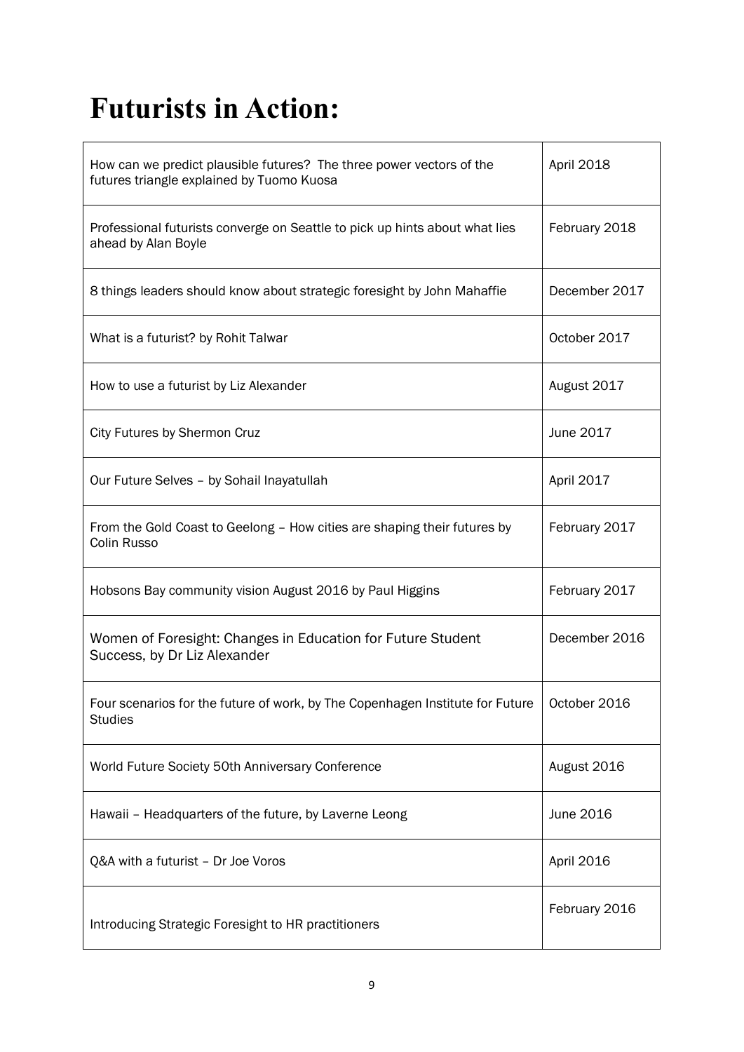# **Futurists in Action:**

| How can we predict plausible futures? The three power vectors of the<br>futures triangle explained by Tuomo Kuosa | April 2018    |
|-------------------------------------------------------------------------------------------------------------------|---------------|
| Professional futurists converge on Seattle to pick up hints about what lies<br>ahead by Alan Boyle                | February 2018 |
| 8 things leaders should know about strategic foresight by John Mahaffie                                           | December 2017 |
| What is a futurist? by Rohit Talwar                                                                               | October 2017  |
| How to use a futurist by Liz Alexander                                                                            | August 2017   |
| City Futures by Shermon Cruz                                                                                      | June 2017     |
| Our Future Selves - by Sohail Inayatullah                                                                         | April 2017    |
| From the Gold Coast to Geelong - How cities are shaping their futures by<br>Colin Russo                           | February 2017 |
| Hobsons Bay community vision August 2016 by Paul Higgins                                                          | February 2017 |
| Women of Foresight: Changes in Education for Future Student<br>Success, by Dr Liz Alexander                       | December 2016 |
| Four scenarios for the future of work, by The Copenhagen Institute for Future   October 2016<br><b>Studies</b>    |               |
| World Future Society 50th Anniversary Conference                                                                  | August 2016   |
| Hawaii - Headquarters of the future, by Laverne Leong                                                             | June 2016     |
| Q&A with a futurist - Dr Joe Voros                                                                                | April 2016    |
| Introducing Strategic Foresight to HR practitioners                                                               | February 2016 |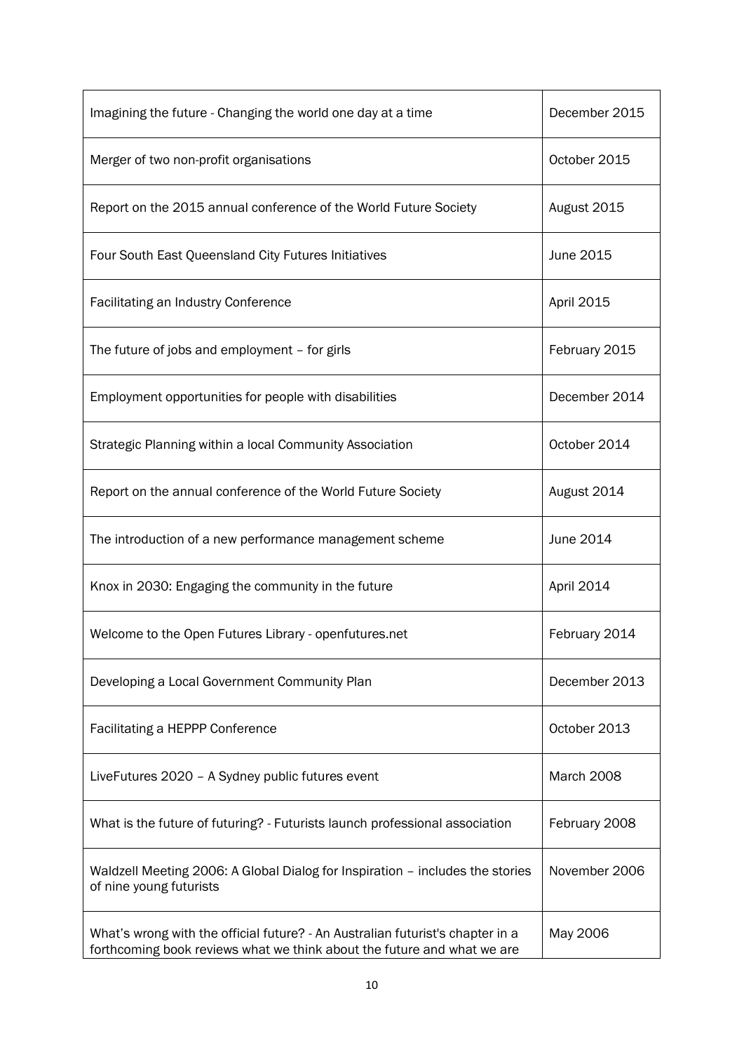| Imagining the future - Changing the world one day at a time                                                                                               | December 2015 |
|-----------------------------------------------------------------------------------------------------------------------------------------------------------|---------------|
| Merger of two non-profit organisations                                                                                                                    | October 2015  |
| Report on the 2015 annual conference of the World Future Society                                                                                          | August 2015   |
| Four South East Queensland City Futures Initiatives                                                                                                       | June 2015     |
| <b>Facilitating an Industry Conference</b>                                                                                                                | April 2015    |
| The future of jobs and employment - for girls                                                                                                             | February 2015 |
| Employment opportunities for people with disabilities                                                                                                     | December 2014 |
| Strategic Planning within a local Community Association                                                                                                   | October 2014  |
| Report on the annual conference of the World Future Society                                                                                               | August 2014   |
| The introduction of a new performance management scheme                                                                                                   | June 2014     |
| Knox in 2030: Engaging the community in the future                                                                                                        | April 2014    |
| Welcome to the Open Futures Library - openfutures.net                                                                                                     | February 2014 |
| Developing a Local Government Community Plan                                                                                                              | December 2013 |
| <b>Facilitating a HEPPP Conference</b>                                                                                                                    | October 2013  |
| LiveFutures 2020 - A Sydney public futures event                                                                                                          | March 2008    |
| What is the future of futuring? - Futurists launch professional association                                                                               | February 2008 |
| Waldzell Meeting 2006: A Global Dialog for Inspiration - includes the stories<br>of nine young futurists                                                  | November 2006 |
| What's wrong with the official future? - An Australian futurist's chapter in a<br>forthcoming book reviews what we think about the future and what we are | May 2006      |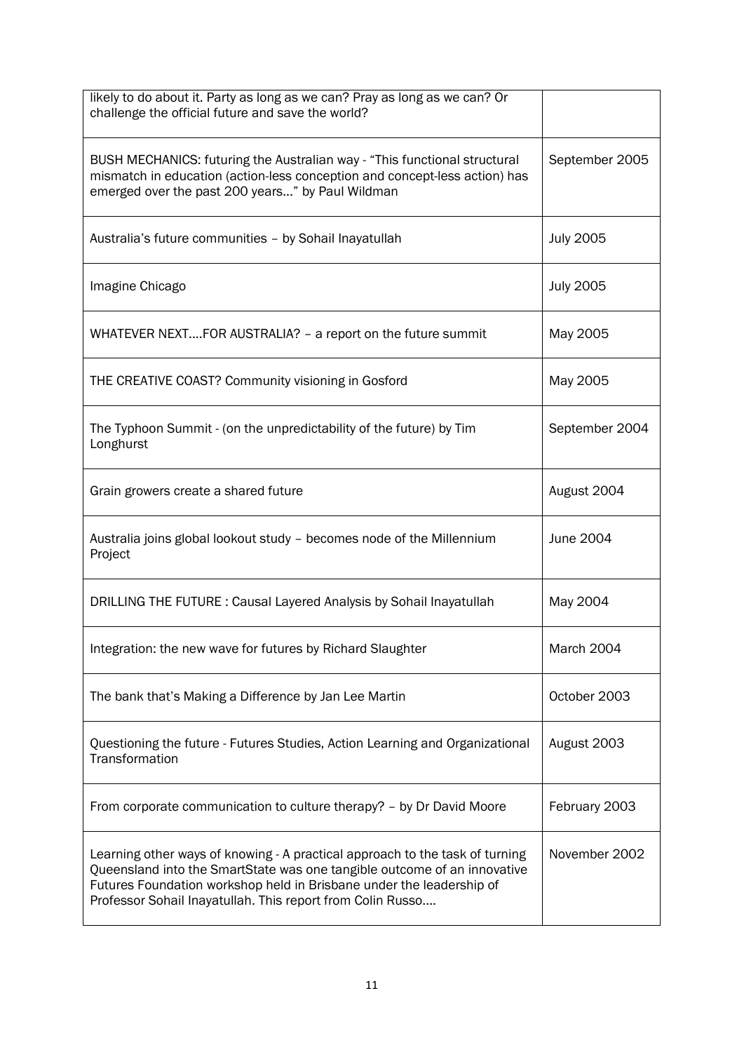| likely to do about it. Party as long as we can? Pray as long as we can? Or<br>challenge the official future and save the world?                                                                                                                                                                |                  |
|------------------------------------------------------------------------------------------------------------------------------------------------------------------------------------------------------------------------------------------------------------------------------------------------|------------------|
| BUSH MECHANICS: futuring the Australian way - "This functional structural<br>mismatch in education (action-less conception and concept-less action) has<br>emerged over the past 200 years" by Paul Wildman                                                                                    | September 2005   |
| Australia's future communities - by Sohail Inayatullah                                                                                                                                                                                                                                         | <b>July 2005</b> |
| Imagine Chicago                                                                                                                                                                                                                                                                                | <b>July 2005</b> |
| WHATEVER NEXTFOR AUSTRALIA? - a report on the future summit                                                                                                                                                                                                                                    | May 2005         |
| THE CREATIVE COAST? Community visioning in Gosford                                                                                                                                                                                                                                             | May 2005         |
| The Typhoon Summit - (on the unpredictability of the future) by Tim<br>Longhurst                                                                                                                                                                                                               | September 2004   |
| Grain growers create a shared future                                                                                                                                                                                                                                                           | August 2004      |
| Australia joins global lookout study - becomes node of the Millennium<br>Project                                                                                                                                                                                                               | June 2004        |
| DRILLING THE FUTURE: Causal Layered Analysis by Sohail Inayatullah                                                                                                                                                                                                                             | May 2004         |
| Integration: the new wave for futures by Richard Slaughter                                                                                                                                                                                                                                     | March 2004       |
| The bank that's Making a Difference by Jan Lee Martin                                                                                                                                                                                                                                          | October 2003     |
| Questioning the future - Futures Studies, Action Learning and Organizational<br>Transformation                                                                                                                                                                                                 | August 2003      |
| From corporate communication to culture therapy? - by Dr David Moore                                                                                                                                                                                                                           | February 2003    |
| Learning other ways of knowing - A practical approach to the task of turning<br>Queensland into the SmartState was one tangible outcome of an innovative<br>Futures Foundation workshop held in Brisbane under the leadership of<br>Professor Sohail Inayatullah. This report from Colin Russo | November 2002    |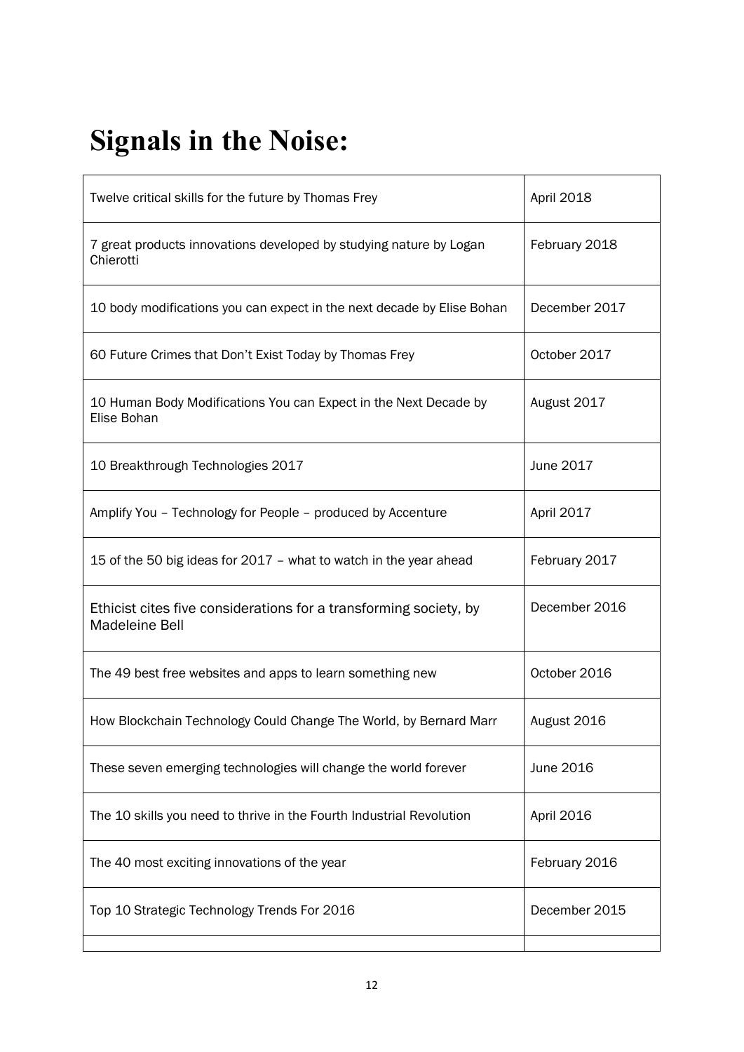# **Signals in the Noise:**

| Twelve critical skills for the future by Thomas Frey                                | April 2018    |
|-------------------------------------------------------------------------------------|---------------|
| 7 great products innovations developed by studying nature by Logan<br>Chierotti     | February 2018 |
| 10 body modifications you can expect in the next decade by Elise Bohan              | December 2017 |
| 60 Future Crimes that Don't Exist Today by Thomas Frey                              | October 2017  |
| 10 Human Body Modifications You can Expect in the Next Decade by<br>Elise Bohan     | August 2017   |
| 10 Breakthrough Technologies 2017                                                   | June 2017     |
| Amplify You - Technology for People - produced by Accenture                         | April 2017    |
| 15 of the 50 big ideas for 2017 - what to watch in the year ahead                   | February 2017 |
| Ethicist cites five considerations for a transforming society, by<br>Madeleine Bell | December 2016 |
| The 49 best free websites and apps to learn something new                           | October 2016  |
| How Blockchain Technology Could Change The World, by Bernard Marr                   | August 2016   |
| These seven emerging technologies will change the world forever                     | June 2016     |
| The 10 skills you need to thrive in the Fourth Industrial Revolution                | April 2016    |
| The 40 most exciting innovations of the year                                        | February 2016 |
| Top 10 Strategic Technology Trends For 2016                                         | December 2015 |
|                                                                                     |               |